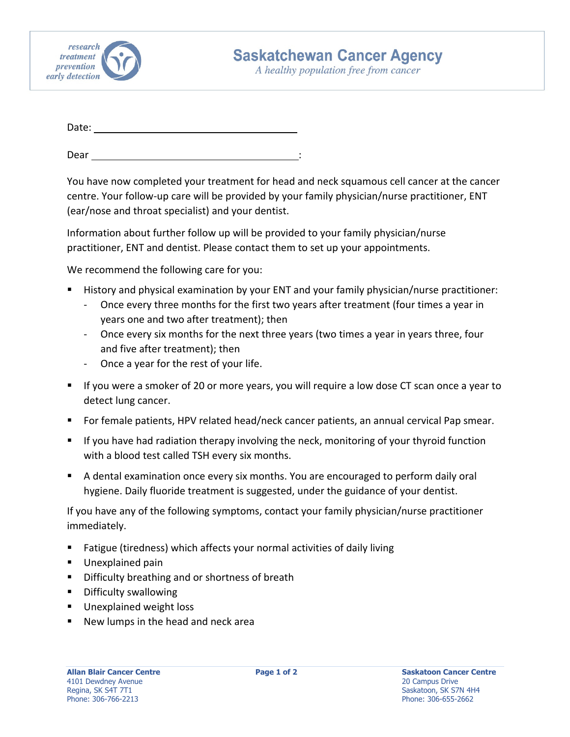

A healthy population free from cancer

| Date: |  |  |  |  |
|-------|--|--|--|--|
|       |  |  |  |  |

Dear :

You have now completed your treatment for head and neck squamous cell cancer at the cancer centre. Your follow‐up care will be provided by your family physician/nurse practitioner, ENT (ear/nose and throat specialist) and your dentist.

Information about further follow up will be provided to your family physician/nurse practitioner, ENT and dentist. Please contact them to set up your appointments.

We recommend the following care for you:

- History and physical examination by your ENT and your family physician/nurse practitioner:
	- ‐ Once every three months for the first two years after treatment (four times a year in years one and two after treatment); then
	- ‐ Once every six months for the next three years (two times a year in years three, four and five after treatment); then
	- ‐ Once a year for the rest of your life.
- If you were a smoker of 20 or more years, you will require a low dose CT scan once a year to detect lung cancer.
- For female patients, HPV related head/neck cancer patients, an annual cervical Pap smear.
- If you have had radiation therapy involving the neck, monitoring of your thyroid function with a blood test called TSH every six months.
- A dental examination once every six months. You are encouraged to perform daily oral hygiene. Daily fluoride treatment is suggested, under the guidance of your dentist.

If you have any of the following symptoms, contact your family physician/nurse practitioner immediately.

- Fatigue (tiredness) which affects your normal activities of daily living
- **Unexplained pain**
- **Difficulty breathing and or shortness of breath**
- **Difficulty swallowing**
- **Unexplained weight loss**
- New lumps in the head and neck area